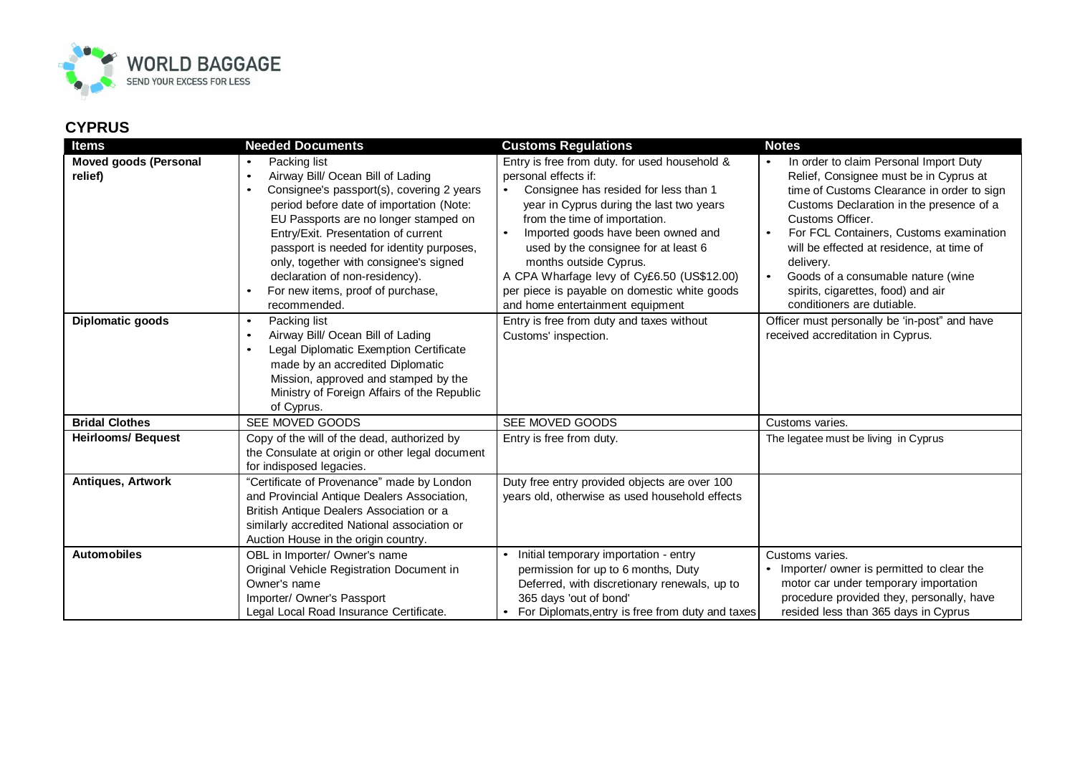

## **CYPRUS**

| <b>Items</b>                 | <b>Needed Documents</b>                                                                                                                                                                                                                                                                                                                                                                                                         | <b>Customs Regulations</b>                                                                                                                                                                                                                                                                                                                                                                        | <b>Notes</b>                                                                                                                                                                                                                                                                                                                                                        |
|------------------------------|---------------------------------------------------------------------------------------------------------------------------------------------------------------------------------------------------------------------------------------------------------------------------------------------------------------------------------------------------------------------------------------------------------------------------------|---------------------------------------------------------------------------------------------------------------------------------------------------------------------------------------------------------------------------------------------------------------------------------------------------------------------------------------------------------------------------------------------------|---------------------------------------------------------------------------------------------------------------------------------------------------------------------------------------------------------------------------------------------------------------------------------------------------------------------------------------------------------------------|
| <b>Moved goods (Personal</b> | Packing list<br>$\bullet$                                                                                                                                                                                                                                                                                                                                                                                                       | Entry is free from duty. for used household &                                                                                                                                                                                                                                                                                                                                                     | In order to claim Personal Import Duty                                                                                                                                                                                                                                                                                                                              |
| relief)                      | Airway Bill/ Ocean Bill of Lading<br>$\bullet$<br>Consignee's passport(s), covering 2 years<br>$\bullet$<br>period before date of importation (Note:<br>EU Passports are no longer stamped on<br>Entry/Exit. Presentation of current<br>passport is needed for identity purposes,<br>only, together with consignee's signed<br>declaration of non-residency).<br>For new items, proof of purchase,<br>$\bullet$<br>recommended. | personal effects if:<br>Consignee has resided for less than 1<br>year in Cyprus during the last two years<br>from the time of importation.<br>Imported goods have been owned and<br>$\bullet$<br>used by the consignee for at least 6<br>months outside Cyprus.<br>A CPA Wharfage levy of Cy£6.50 (US\$12.00)<br>per piece is payable on domestic white goods<br>and home entertainment equipment | Relief, Consignee must be in Cyprus at<br>time of Customs Clearance in order to sign<br>Customs Declaration in the presence of a<br>Customs Officer.<br>For FCL Containers, Customs examination<br>will be effected at residence, at time of<br>delivery.<br>Goods of a consumable nature (wine<br>spirits, cigarettes, food) and air<br>conditioners are dutiable. |
| Diplomatic goods             | Packing list<br>$\bullet$<br>Airway Bill/ Ocean Bill of Lading<br>$\bullet$<br>Legal Diplomatic Exemption Certificate<br>made by an accredited Diplomatic<br>Mission, approved and stamped by the<br>Ministry of Foreign Affairs of the Republic<br>of Cyprus.                                                                                                                                                                  | Entry is free from duty and taxes without<br>Customs' inspection.                                                                                                                                                                                                                                                                                                                                 | Officer must personally be 'in-post" and have<br>received accreditation in Cyprus.                                                                                                                                                                                                                                                                                  |
| <b>Bridal Clothes</b>        | SEE MOVED GOODS                                                                                                                                                                                                                                                                                                                                                                                                                 | SEE MOVED GOODS                                                                                                                                                                                                                                                                                                                                                                                   | Customs varies.                                                                                                                                                                                                                                                                                                                                                     |
| <b>Heirlooms/ Bequest</b>    | Copy of the will of the dead, authorized by<br>the Consulate at origin or other legal document<br>for indisposed legacies.                                                                                                                                                                                                                                                                                                      | Entry is free from duty.                                                                                                                                                                                                                                                                                                                                                                          | The legatee must be living in Cyprus                                                                                                                                                                                                                                                                                                                                |
| Antiques, Artwork            | "Certificate of Provenance" made by London<br>and Provincial Antique Dealers Association,<br>British Antique Dealers Association or a<br>similarly accredited National association or<br>Auction House in the origin country.                                                                                                                                                                                                   | Duty free entry provided objects are over 100<br>years old, otherwise as used household effects                                                                                                                                                                                                                                                                                                   |                                                                                                                                                                                                                                                                                                                                                                     |
| <b>Automobiles</b>           | OBL in Importer/ Owner's name<br>Original Vehicle Registration Document in<br>Owner's name<br>Importer/ Owner's Passport<br>Legal Local Road Insurance Certificate.                                                                                                                                                                                                                                                             | Initial temporary importation - entry<br>permission for up to 6 months, Duty<br>Deferred, with discretionary renewals, up to<br>365 days 'out of bond'<br>For Diplomats, entry is free from duty and taxes                                                                                                                                                                                        | Customs varies.<br>• Importer/ owner is permitted to clear the<br>motor car under temporary importation<br>procedure provided they, personally, have<br>resided less than 365 days in Cyprus                                                                                                                                                                        |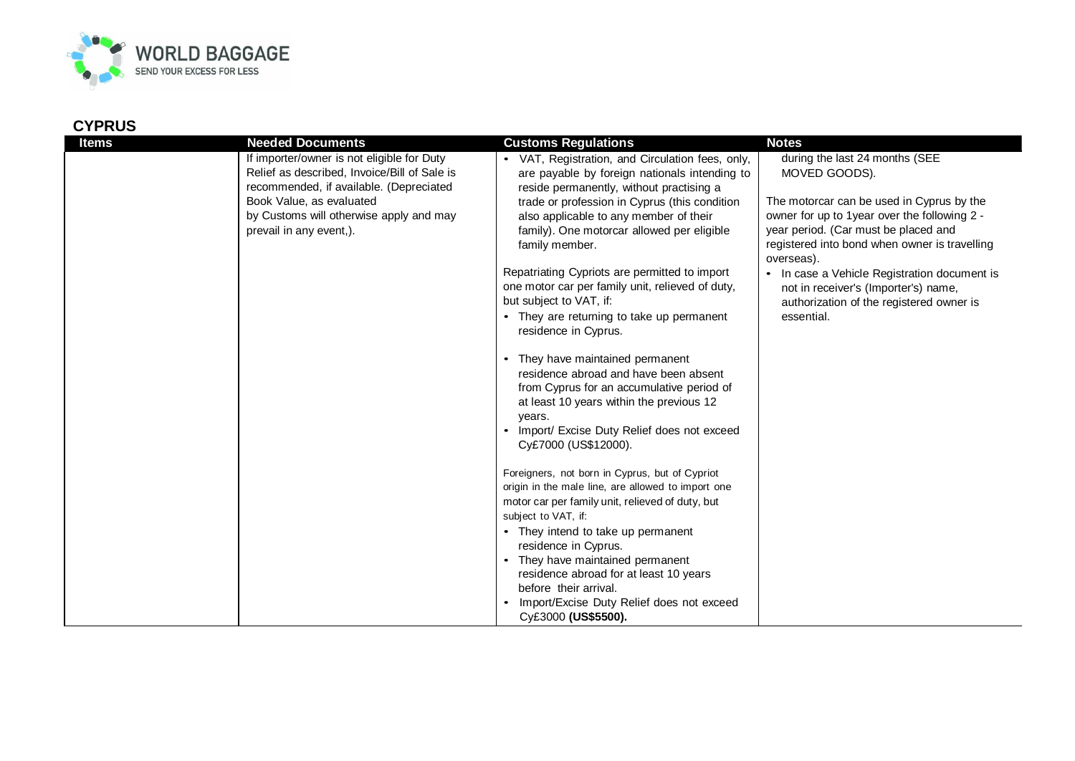

## **CYPRUS**

| If importer/owner is not eligible for Duty<br>Relief as described, Invoice/Bill of Sale is<br>recommended, if available. (Depreciated<br>Book Value, as evaluated<br>by Customs will otherwise apply and may<br>prevail in any event,). | VAT, Registration, and Circulation fees, only,<br>are payable by foreign nationals intending to<br>reside permanently, without practising a<br>trade or profession in Cyprus (this condition<br>also applicable to any member of their<br>family). One motorcar allowed per eligible<br>family member.<br>Repatriating Cypriots are permitted to import<br>one motor car per family unit, relieved of duty,<br>but subject to VAT, if:<br>• They are returning to take up permanent<br>residence in Cyprus.<br>They have maintained permanent                                   | during the last 24 months (SEE<br>MOVED GOODS).<br>The motorcar can be used in Cyprus by the<br>owner for up to 1year over the following 2 -<br>year period. (Car must be placed and<br>registered into bond when owner is travelling<br>overseas).<br>• In case a Vehicle Registration document is<br>not in receiver's (Importer's) name,<br>authorization of the registered owner is<br>essential. |
|-----------------------------------------------------------------------------------------------------------------------------------------------------------------------------------------------------------------------------------------|---------------------------------------------------------------------------------------------------------------------------------------------------------------------------------------------------------------------------------------------------------------------------------------------------------------------------------------------------------------------------------------------------------------------------------------------------------------------------------------------------------------------------------------------------------------------------------|-------------------------------------------------------------------------------------------------------------------------------------------------------------------------------------------------------------------------------------------------------------------------------------------------------------------------------------------------------------------------------------------------------|
|                                                                                                                                                                                                                                         | residence abroad and have been absent<br>from Cyprus for an accumulative period of<br>at least 10 years within the previous 12<br>years.<br>Import/ Excise Duty Relief does not exceed<br>Cy£7000 (US\$12000).<br>Foreigners, not born in Cyprus, but of Cypriot<br>origin in the male line, are allowed to import one<br>motor car per family unit, relieved of duty, but<br>subject to VAT, if:<br>They intend to take up permanent<br>residence in Cyprus.<br>They have maintained permanent<br>$\bullet$<br>residence abroad for at least 10 years<br>before their arrival. |                                                                                                                                                                                                                                                                                                                                                                                                       |
|                                                                                                                                                                                                                                         | Import/Excise Duty Relief does not exceed<br>Cy£3000 (US\$5500).                                                                                                                                                                                                                                                                                                                                                                                                                                                                                                                |                                                                                                                                                                                                                                                                                                                                                                                                       |